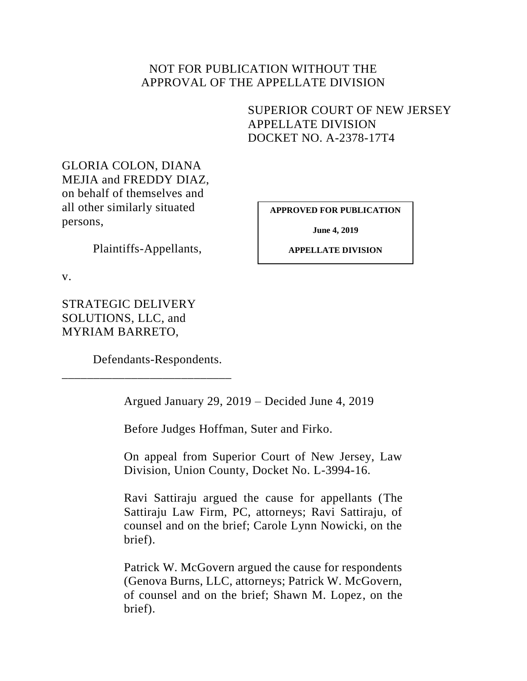## NOT FOR PUBLICATION WITHOUT THE APPROVAL OF THE APPELLATE DIVISION

# <span id="page-0-0"></span>SUPERIOR COURT OF NEW JERSEY APPELLATE DIVISION DOCKET NO. A-2378-17T4

GLORIA COLON, DIANA MEJIA and FREDDY DIAZ, on behalf of themselves and all other similarly situated persons,

**APPROVED FOR PUBLICATION**

**June 4, 2019**

Plaintiffs-Appellants,

**APPELLATE DIVISION**

v.

STRATEGIC DELIVERY SOLUTIONS, LLC, and MYRIAM BARRETO,

Defendants-Respondents.

\_\_\_\_\_\_\_\_\_\_\_\_\_\_\_\_\_\_\_\_\_\_\_\_\_\_\_

Argued January 29, 2019 – Decided June 4, 2019

Before Judges Hoffman, Suter and Firko.

On appeal from Superior Court of New Jersey, Law Division, Union County, Docket No. L-3994-16.

Ravi Sattiraju argued the cause for appellants (The Sattiraju Law Firm, PC, attorneys; Ravi Sattiraju, of counsel and on the brief; Carole Lynn Nowicki, on the brief).

Patrick W. McGovern argued the cause for respondents (Genova Burns, LLC, attorneys; Patrick W. McGovern, of counsel and on the brief; Shawn M. Lopez, on the brief).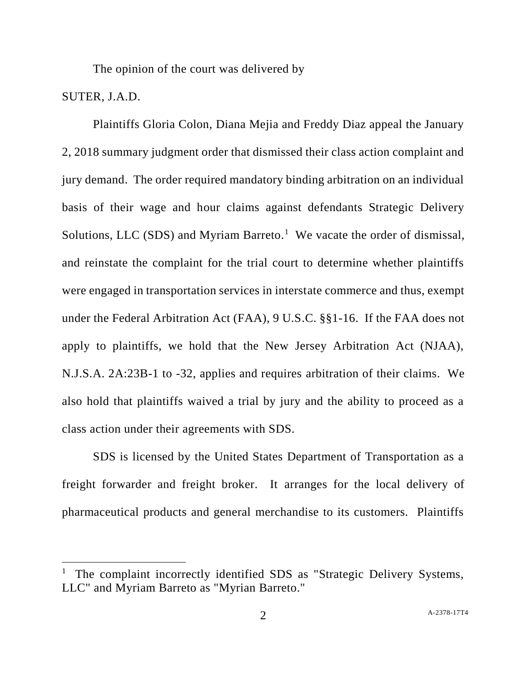The opinion of the court was delivered by

## SUTER, J.A.D.

 $\overline{a}$ 

Plaintiffs Gloria Colon, Diana Mejia and Freddy Diaz appeal the January 2, 2018 summary judgment order that dismissed their class action complaint and jury demand. The order required mandatory binding arbitration on an individual basis of their wage and hour claims against defendants Strategic Delivery Solutions, LLC (SDS) and Myriam Barreto.<sup>1</sup> We vacate the order of dismissal, and reinstate the complaint for the trial court to determine whether plaintiffs were engaged in transportation services in interstate commerce and thus, exempt under the Federal Arbitration Act (FAA), 9 U.S.C. §§1-16. If the FAA does not apply to plaintiffs, we hold that the New Jersey Arbitration Act (NJAA), N.J.S.A. 2A:23B-1 to -32, applies and requires arbitration of their claims. We also hold that plaintiffs waived a trial by jury and the ability to proceed as a class action under their agreements with SDS.

SDS is licensed by the United States Department of Transportation as a freight forwarder and freight broker. It arranges for the local delivery of pharmaceutical products and general merchandise to its customers. Plaintiffs

<sup>&</sup>lt;sup>1</sup> The complaint incorrectly identified SDS as "Strategic Delivery Systems, LLC" and Myriam Barreto as "Myrian Barreto."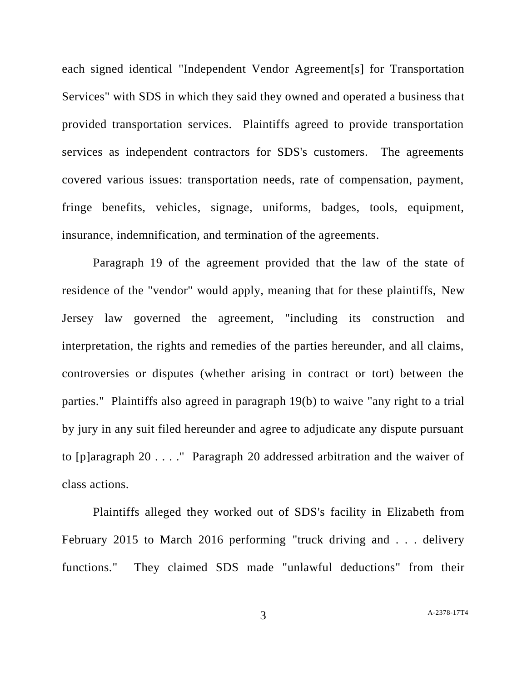each signed identical "Independent Vendor Agreement[s] for Transportation Services" with SDS in which they said they owned and operated a business that provided transportation services. Plaintiffs agreed to provide transportation services as independent contractors for SDS's customers. The agreements covered various issues: transportation needs, rate of compensation, payment, fringe benefits, vehicles, signage, uniforms, badges, tools, equipment, insurance, indemnification, and termination of the agreements.

Paragraph 19 of the agreement provided that the law of the state of residence of the "vendor" would apply, meaning that for these plaintiffs, New Jersey law governed the agreement, "including its construction and interpretation, the rights and remedies of the parties hereunder, and all claims, controversies or disputes (whether arising in contract or tort) between the parties." Plaintiffs also agreed in paragraph 19(b) to waive "any right to a trial by jury in any suit filed hereunder and agree to adjudicate any dispute pursuant to [p]aragraph 20 . . . ." Paragraph 20 addressed arbitration and the waiver of class actions.

Plaintiffs alleged they worked out of SDS's facility in Elizabeth from February 2015 to March 2016 performing "truck driving and . . . delivery functions." They claimed SDS made "unlawful deductions" from their

3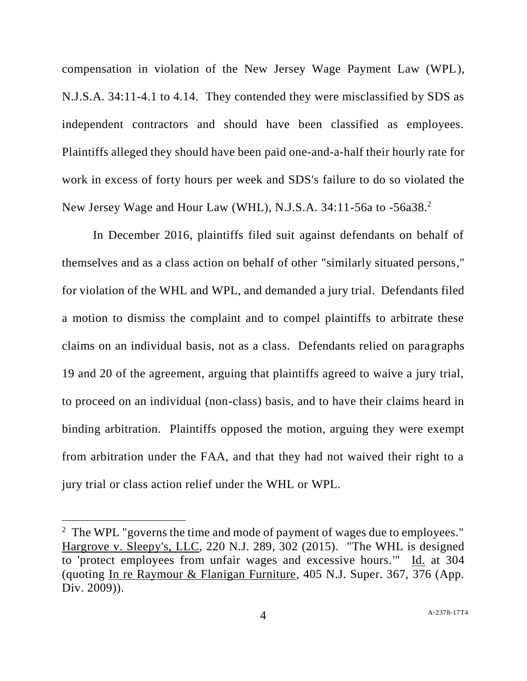compensation in violation of the New Jersey Wage Payment Law (WPL), N.J.S.A. 34:11-4.1 to 4.14. They contended they were misclassified by SDS as independent contractors and should have been classified as employees. Plaintiffs alleged they should have been paid one-and-a-half their hourly rate for work in excess of forty hours per week and SDS's failure to do so violated the New Jersey Wage and Hour Law (WHL), N.J.S.A. 34:11-56a to -56a38.<sup>2</sup>

In December 2016, plaintiffs filed suit against defendants on behalf of themselves and as a class action on behalf of other "similarly situated persons," for violation of the WHL and WPL, and demanded a jury trial. Defendants filed a motion to dismiss the complaint and to compel plaintiffs to arbitrate these claims on an individual basis, not as a class. Defendants relied on paragraphs 19 and 20 of the agreement, arguing that plaintiffs agreed to waive a jury trial, to proceed on an individual (non-class) basis, and to have their claims heard in binding arbitration. Plaintiffs opposed the motion, arguing they were exempt from arbitration under the FAA, and that they had not waived their right to a jury trial or class action relief under the WHL or WPL.

 $\overline{a}$ 

<sup>&</sup>lt;sup>2</sup> The WPL "governs the time and mode of payment of wages due to employees." Hargrove v. Sleepy's, LLC, 220 N.J. 289, 302 (2015). "The WHL is designed to 'protect employees from unfair wages and excessive hours.'" Id. at 304 (quoting In re Raymour & Flanigan Furniture, 405 N.J. Super. 367, 376 (App. Div. 2009)).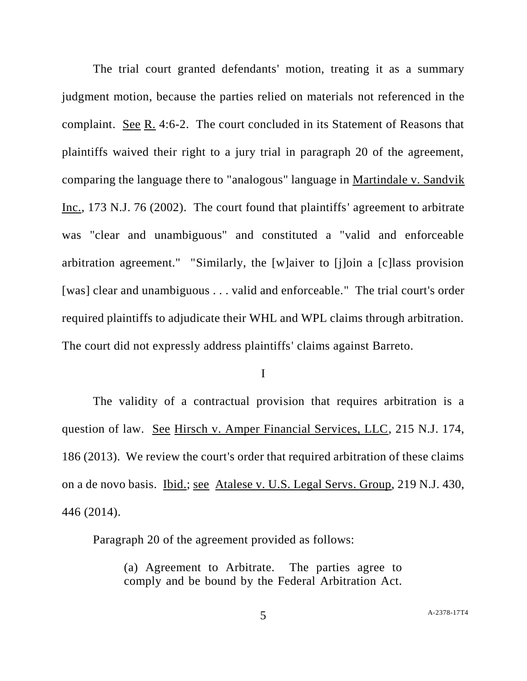The trial court granted defendants' motion, treating it as a summary judgment motion, because the parties relied on materials not referenced in the complaint. See R. 4:6-2. The court concluded in its Statement of Reasons that plaintiffs waived their right to a jury trial in paragraph 20 of the agreement, comparing the language there to "analogous" language in Martindale v. Sandvik Inc., 173 N.J. 76 (2002). The court found that plaintiffs' agreement to arbitrate was "clear and unambiguous" and constituted a "valid and enforceable arbitration agreement." "Similarly, the [w]aiver to [j]oin a [c]lass provision [was] clear and unambiguous . . . valid and enforceable." The trial court's order required plaintiffs to adjudicate their WHL and WPL claims through arbitration. The court did not expressly address plaintiffs' claims against Barreto.

I

The validity of a contractual provision that requires arbitration is a question of law. See Hirsch v. Amper Financial Services, LLC, 215 N.J. 174, 186 (2013). We review the court's order that required arbitration of these claims on a de novo basis. Ibid.; see Atalese v. U.S. Legal Servs. Group, 219 N.J. 430, 446 (2014).

Paragraph 20 of the agreement provided as follows:

(a) Agreement to Arbitrate. The parties agree to comply and be bound by the Federal Arbitration Act.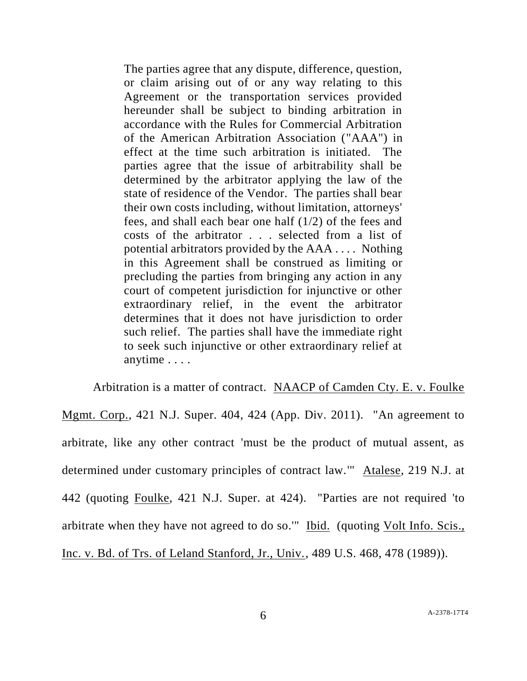The parties agree that any dispute, difference, question, or claim arising out of or any way relating to this Agreement or the transportation services provided hereunder shall be subject to binding arbitration in accordance with the Rules for Commercial Arbitration of the American Arbitration Association ("AAA") in effect at the time such arbitration is initiated. The parties agree that the issue of arbitrability shall be determined by the arbitrator applying the law of the state of residence of the Vendor. The parties shall bear their own costs including, without limitation, attorneys' fees, and shall each bear one half (1/2) of the fees and costs of the arbitrator . . . selected from a list of potential arbitrators provided by the AAA . . . . Nothing in this Agreement shall be construed as limiting or precluding the parties from bringing any action in any court of competent jurisdiction for injunctive or other extraordinary relief, in the event the arbitrator determines that it does not have jurisdiction to order such relief. The parties shall have the immediate right to seek such injunctive or other extraordinary relief at anytime . . . .

Arbitration is a matter of contract. NAACP of Camden Cty. E. v. Foulke Mgmt. Corp., 421 N.J. Super. 404, 424 (App. Div. 2011). "An agreement to arbitrate, like any other contract 'must be the product of mutual assent, as determined under customary principles of contract law.'" Atalese, 219 N.J. at 442 (quoting Foulke, 421 N.J. Super. at 424). "Parties are not required 'to arbitrate when they have not agreed to do so.'" Ibid. (quoting Volt Info. Scis., Inc. v. Bd. of Trs. of Leland Stanford, Jr., Univ., 489 U.S. 468, 478 (1989)).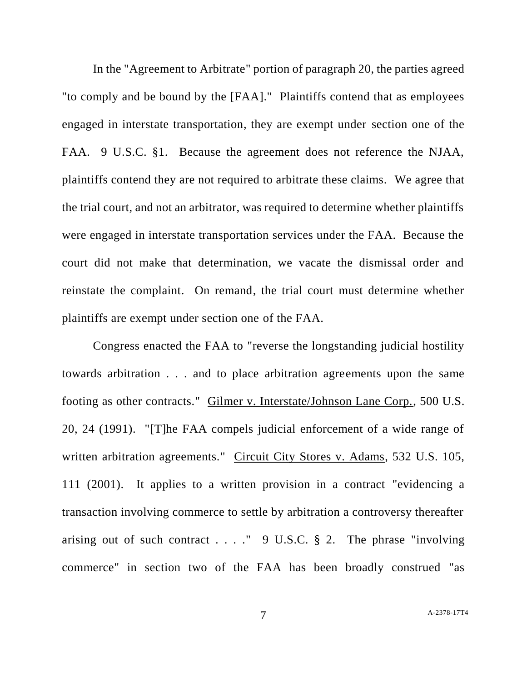In the "Agreement to Arbitrate" portion of paragraph 20, the parties agreed "to comply and be bound by the [FAA]." Plaintiffs contend that as employees engaged in interstate transportation, they are exempt under section one of the FAA. 9 U.S.C. §1. Because the agreement does not reference the NJAA, plaintiffs contend they are not required to arbitrate these claims. We agree that the trial court, and not an arbitrator, was required to determine whether plaintiffs were engaged in interstate transportation services under the FAA. Because the court did not make that determination, we vacate the dismissal order and reinstate the complaint. On remand, the trial court must determine whether plaintiffs are exempt under section one of the FAA.

Congress enacted the FAA to "reverse the longstanding judicial hostility towards arbitration . . . and to place arbitration agreements upon the same footing as other contracts." Gilmer v. Interstate/Johnson Lane Corp., 500 U.S. 20, 24 (1991). "[T]he FAA compels judicial enforcement of a wide range of written arbitration agreements." Circuit City Stores v. Adams, 532 U.S. 105, 111 (2001). It applies to a written provision in a contract "evidencing a transaction involving commerce to settle by arbitration a controversy thereafter arising out of such contract . . . . "  $9 \text{ U.S.C. } § 2$ . The phrase "involving" commerce" in section two of the FAA has been broadly construed "as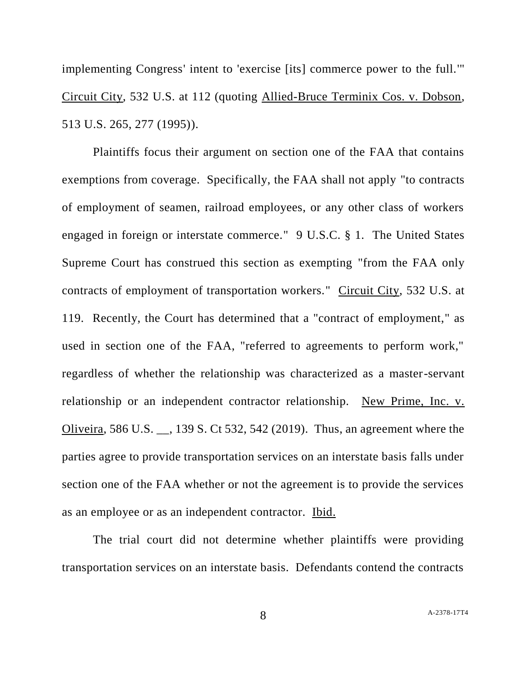implementing Congress' intent to 'exercise [its] commerce power to the full.'" Circuit City, 532 U.S. at 112 (quoting Allied-Bruce Terminix Cos. v. Dobson, 513 U.S. 265, 277 (1995)).

Plaintiffs focus their argument on section one of the FAA that contains exemptions from coverage. Specifically, the FAA shall not apply "to contracts of employment of seamen, railroad employees, or any other class of workers engaged in foreign or interstate commerce." 9 U.S.C. § 1. The United States Supreme Court has construed this section as exempting "from the FAA only contracts of employment of transportation workers." Circuit City, 532 U.S. at 119. Recently, the Court has determined that a "contract of employment," as used in section one of the FAA, "referred to agreements to perform work," regardless of whether the relationship was characterized as a master-servant relationship or an independent contractor relationship. New Prime, Inc. v. Oliveira, 586 U.S. \_\_, 139 S. Ct 532, 542 (2019). Thus, an agreement where the parties agree to provide transportation services on an interstate basis falls under section one of the FAA whether or not the agreement is to provide the services as an employee or as an independent contractor. Ibid.

The trial court did not determine whether plaintiffs were providing transportation services on an interstate basis. Defendants contend the contracts

8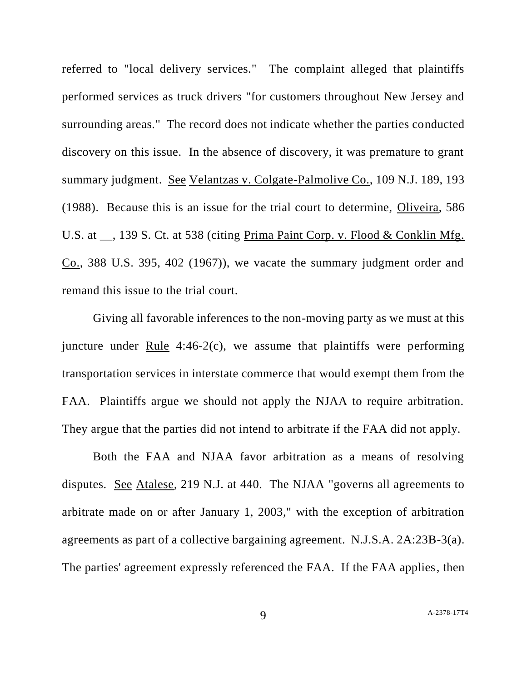referred to "local delivery services." The complaint alleged that plaintiffs performed services as truck drivers "for customers throughout New Jersey and surrounding areas." The record does not indicate whether the parties conducted discovery on this issue. In the absence of discovery, it was premature to grant summary judgment. See Velantzas v. Colgate-Palmolive Co., 109 N.J. 189, 193 (1988). Because this is an issue for the trial court to determine, Oliveira, 586 U.S. at \_\_, 139 S. Ct. at 538 (citing Prima Paint Corp. v. Flood & Conklin Mfg. Co., 388 U.S. 395, 402 (1967)), we vacate the summary judgment order and remand this issue to the trial court.

Giving all favorable inferences to the non-moving party as we must at this juncture under Rule  $4:46-2(c)$ , we assume that plaintiffs were performing transportation services in interstate commerce that would exempt them from the FAA. Plaintiffs argue we should not apply the NJAA to require arbitration. They argue that the parties did not intend to arbitrate if the FAA did not apply.

Both the FAA and NJAA favor arbitration as a means of resolving disputes. See Atalese, 219 N.J. at 440. The NJAA "governs all agreements to arbitrate made on or after January 1, 2003," with the exception of arbitration agreements as part of a collective bargaining agreement. N.J.S.A. 2A:23B-3(a). The parties' agreement expressly referenced the FAA. If the FAA applies, then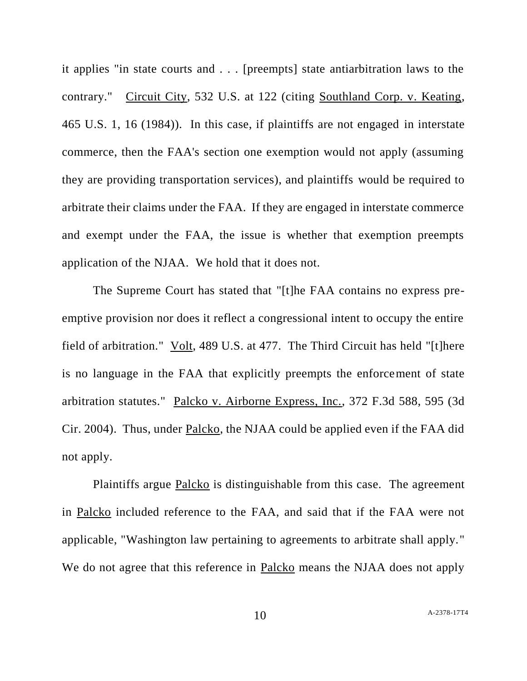it applies "in state courts and . . . [preempts] state antiarbitration laws to the contrary." Circuit City, 532 U.S. at 122 (citing Southland Corp. v. Keating, 465 U.S. 1, 16 (1984)). In this case, if plaintiffs are not engaged in interstate commerce, then the FAA's section one exemption would not apply (assuming they are providing transportation services), and plaintiffs would be required to arbitrate their claims under the FAA. If they are engaged in interstate commerce and exempt under the FAA, the issue is whether that exemption preempts application of the NJAA. We hold that it does not.

The Supreme Court has stated that "[t]he FAA contains no express preemptive provision nor does it reflect a congressional intent to occupy the entire field of arbitration." Volt, 489 U.S. at 477. The Third Circuit has held "[t]here is no language in the FAA that explicitly preempts the enforcement of state arbitration statutes." Palcko v. Airborne Express, Inc., 372 F.3d 588, 595 (3d Cir. 2004). Thus, under Palcko, the NJAA could be applied even if the FAA did not apply.

Plaintiffs argue Palcko is distinguishable from this case. The agreement in Palcko included reference to the FAA, and said that if the FAA were not applicable, "Washington law pertaining to agreements to arbitrate shall apply." We do not agree that this reference in Palcko means the NJAA does not apply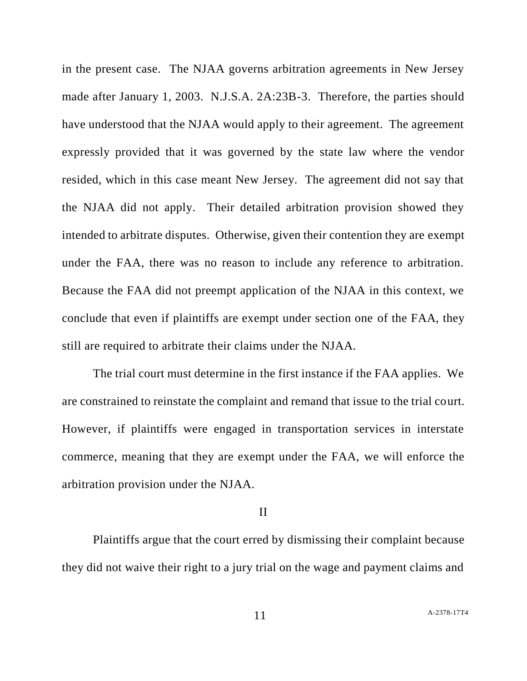in the present case. The NJAA governs arbitration agreements in New Jersey made after January 1, 2003. N.J.S.A. 2A:23B-3. Therefore, the parties should have understood that the NJAA would apply to their agreement. The agreement expressly provided that it was governed by the state law where the vendor resided, which in this case meant New Jersey. The agreement did not say that the NJAA did not apply. Their detailed arbitration provision showed they intended to arbitrate disputes. Otherwise, given their contention they are exempt under the FAA, there was no reason to include any reference to arbitration. Because the FAA did not preempt application of the NJAA in this context, we conclude that even if plaintiffs are exempt under section one of the FAA, they still are required to arbitrate their claims under the NJAA.

The trial court must determine in the first instance if the FAA applies. We are constrained to reinstate the complaint and remand that issue to the trial court. However, if plaintiffs were engaged in transportation services in interstate commerce, meaning that they are exempt under the FAA, we will enforce the arbitration provision under the NJAA.

#### II

Plaintiffs argue that the court erred by dismissing their complaint because they did not waive their right to a jury trial on the wage and payment claims and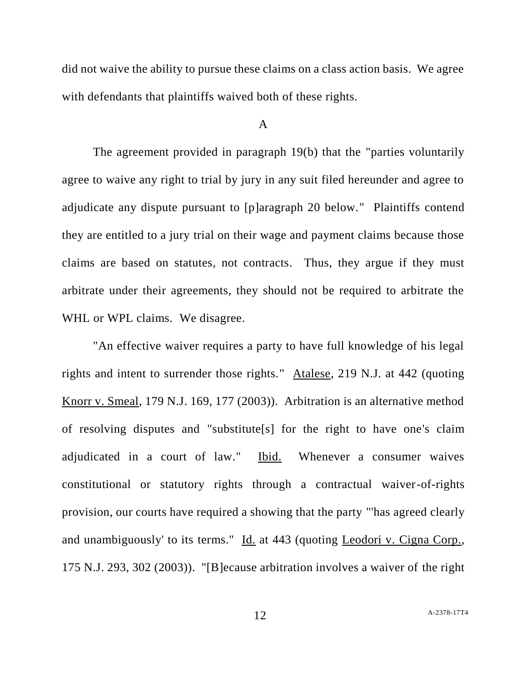did not waive the ability to pursue these claims on a class action basis. We agree with defendants that plaintiffs waived both of these rights.

### A

The agreement provided in paragraph 19(b) that the "parties voluntarily agree to waive any right to trial by jury in any suit filed hereunder and agree to adjudicate any dispute pursuant to [p]aragraph 20 below." Plaintiffs contend they are entitled to a jury trial on their wage and payment claims because those claims are based on statutes, not contracts. Thus, they argue if they must arbitrate under their agreements, they should not be required to arbitrate the WHL or WPL claims. We disagree.

"An effective waiver requires a party to have full knowledge of his legal rights and intent to surrender those rights." Atalese, 219 N.J. at 442 (quoting Knorr v. Smeal, 179 N.J. 169, 177 (2003)). Arbitration is an alternative method of resolving disputes and "substitute[s] for the right to have one's claim adjudicated in a court of law." Ibid. Whenever a consumer waives constitutional or statutory rights through a contractual waiver-of-rights provision, our courts have required a showing that the party "'has agreed clearly and unambiguously' to its terms." Id. at 443 (quoting Leodori v. Cigna Corp., 175 N.J. 293, 302 (2003)). "[B]ecause arbitration involves a waiver of the right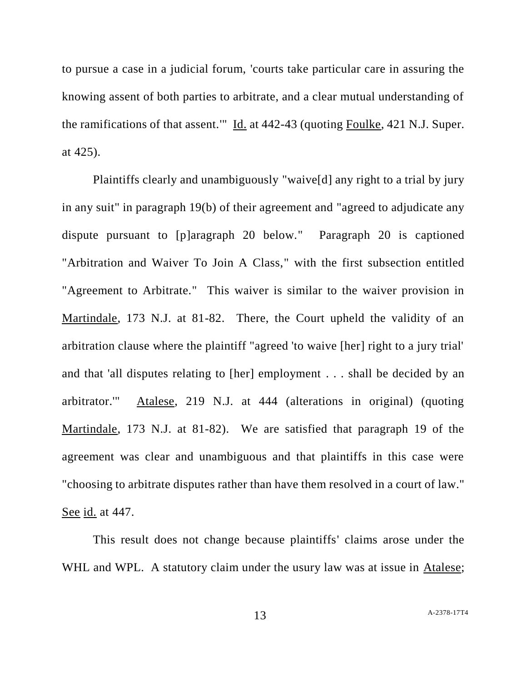to pursue a case in a judicial forum, 'courts take particular care in assuring the knowing assent of both parties to arbitrate, and a clear mutual understanding of the ramifications of that assent.'" Id. at 442-43 (quoting Foulke, 421 N.J. Super. at 425).

Plaintiffs clearly and unambiguously "waive[d] any right to a trial by jury in any suit" in paragraph 19(b) of their agreement and "agreed to adjudicate any dispute pursuant to [p]aragraph 20 below." Paragraph 20 is captioned "Arbitration and Waiver To Join A Class," with the first subsection entitled "Agreement to Arbitrate." This waiver is similar to the waiver provision in Martindale, 173 N.J. at 81-82. There, the Court upheld the validity of an arbitration clause where the plaintiff "agreed 'to waive [her] right to a jury trial' and that 'all disputes relating to [her] employment . . . shall be decided by an arbitrator.'" Atalese, 219 N.J. at 444 (alterations in original) (quoting Martindale, 173 N.J. at 81-82). We are satisfied that paragraph 19 of the agreement was clear and unambiguous and that plaintiffs in this case were "choosing to arbitrate disputes rather than have them resolved in a court of law." See id. at 447.

This result does not change because plaintiffs' claims arose under the WHL and WPL. A statutory claim under the usury law was at issue in Atalese;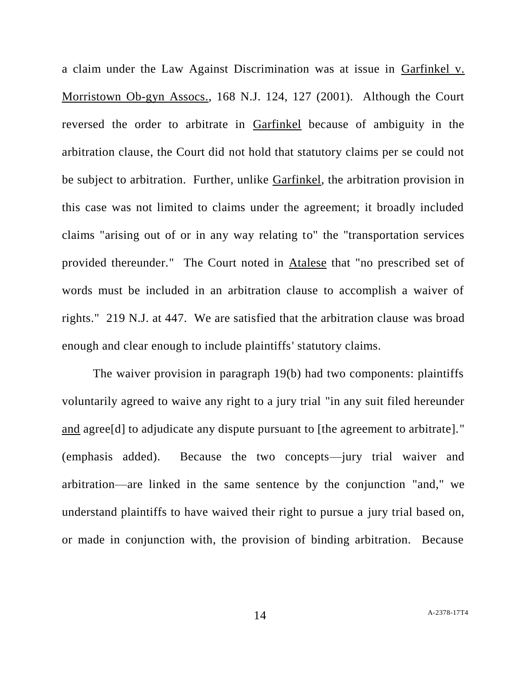a claim under the Law Against Discrimination was at issue in Garfinkel v. Morristown Ob-gyn Assocs., 168 N.J. 124, 127 (2001). Although the Court reversed the order to arbitrate in Garfinkel because of ambiguity in the arbitration clause, the Court did not hold that statutory claims per se could not be subject to arbitration. Further, unlike Garfinkel, the arbitration provision in this case was not limited to claims under the agreement; it broadly included claims "arising out of or in any way relating to" the "transportation services provided thereunder." The Court noted in Atalese that "no prescribed set of words must be included in an arbitration clause to accomplish a waiver of rights." 219 N.J. at 447. We are satisfied that the arbitration clause was broad enough and clear enough to include plaintiffs' statutory claims.

The waiver provision in paragraph 19(b) had two components: plaintiffs voluntarily agreed to waive any right to a jury trial "in any suit filed hereunder and agree[d] to adjudicate any dispute pursuant to [the agreement to arbitrate]." (emphasis added). Because the two concepts—jury trial waiver and arbitration—are linked in the same sentence by the conjunction "and," we understand plaintiffs to have waived their right to pursue a jury trial based on, or made in conjunction with, the provision of binding arbitration. Because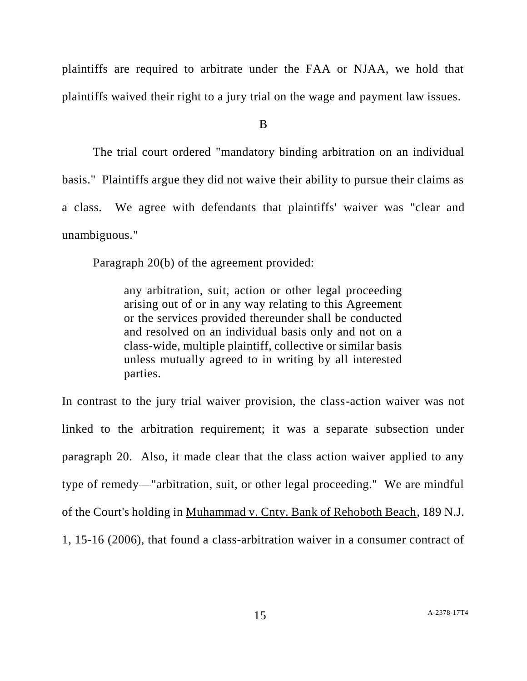plaintiffs are required to arbitrate under the FAA or NJAA, we hold that plaintiffs waived their right to a jury trial on the wage and payment law issues.

B

The trial court ordered "mandatory binding arbitration on an individual basis." Plaintiffs argue they did not waive their ability to pursue their claims as a class. We agree with defendants that plaintiffs' waiver was "clear and unambiguous."

Paragraph 20(b) of the agreement provided:

any arbitration, suit, action or other legal proceeding arising out of or in any way relating to this Agreement or the services provided thereunder shall be conducted and resolved on an individual basis only and not on a class-wide, multiple plaintiff, collective or similar basis unless mutually agreed to in writing by all interested parties.

In contrast to the jury trial waiver provision, the class-action waiver was not linked to the arbitration requirement; it was a separate subsection under paragraph 20. Also, it made clear that the class action waiver applied to any type of remedy—"arbitration, suit, or other legal proceeding." We are mindful of the Court's holding in Muhammad v. Cnty. Bank of Rehoboth Beach, 189 N.J.

1, 15-16 (2006), that found a class-arbitration waiver in a consumer contract of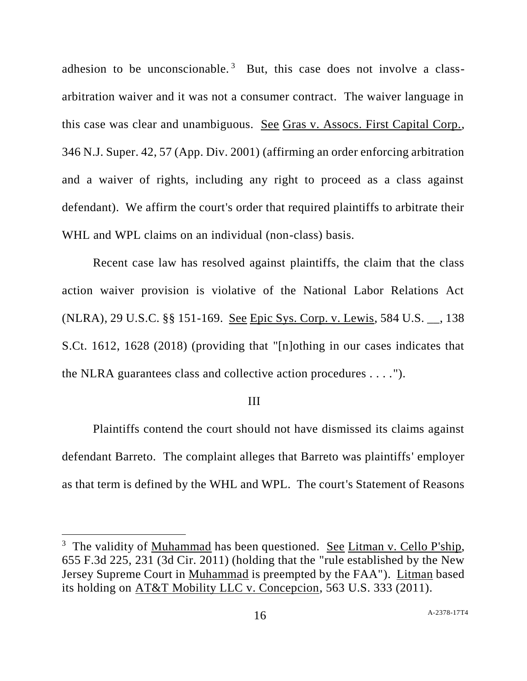adhesion to be unconscionable.<sup>3</sup> But, this case does not involve a classarbitration waiver and it was not a consumer contract. The waiver language in this case was clear and unambiguous. See Gras v. Assocs. First Capital Corp., 346 N.J. Super. 42, 57 (App. Div. 2001) (affirming an order enforcing arbitration and a waiver of rights, including any right to proceed as a class against defendant). We affirm the court's order that required plaintiffs to arbitrate their WHL and WPL claims on an individual (non-class) basis.

Recent case law has resolved against plaintiffs, the claim that the class action waiver provision is violative of the National Labor Relations Act (NLRA), 29 U.S.C. §§ 151-169. See Epic Sys. Corp. v. Lewis, 584 U.S. \_\_, 138 S.Ct. 1612, 1628 (2018) (providing that "[n]othing in our cases indicates that the NLRA guarantees class and collective action procedures . . . .").

#### III

Plaintiffs contend the court should not have dismissed its claims against defendant Barreto. The complaint alleges that Barreto was plaintiffs' employer as that term is defined by the WHL and WPL. The court's Statement of Reasons

 $\overline{a}$ 

<sup>&</sup>lt;sup>3</sup> The validity of Muhammad has been questioned. See Litman v. Cello P'ship, 655 F.3d 225, 231 (3d Cir. 2011) (holding that the "rule established by the New Jersey Supreme Court in Muhammad is preempted by the FAA"). Litman based its holding on AT&T Mobility LLC v. Concepcion, 563 U.S. 333 (2011).